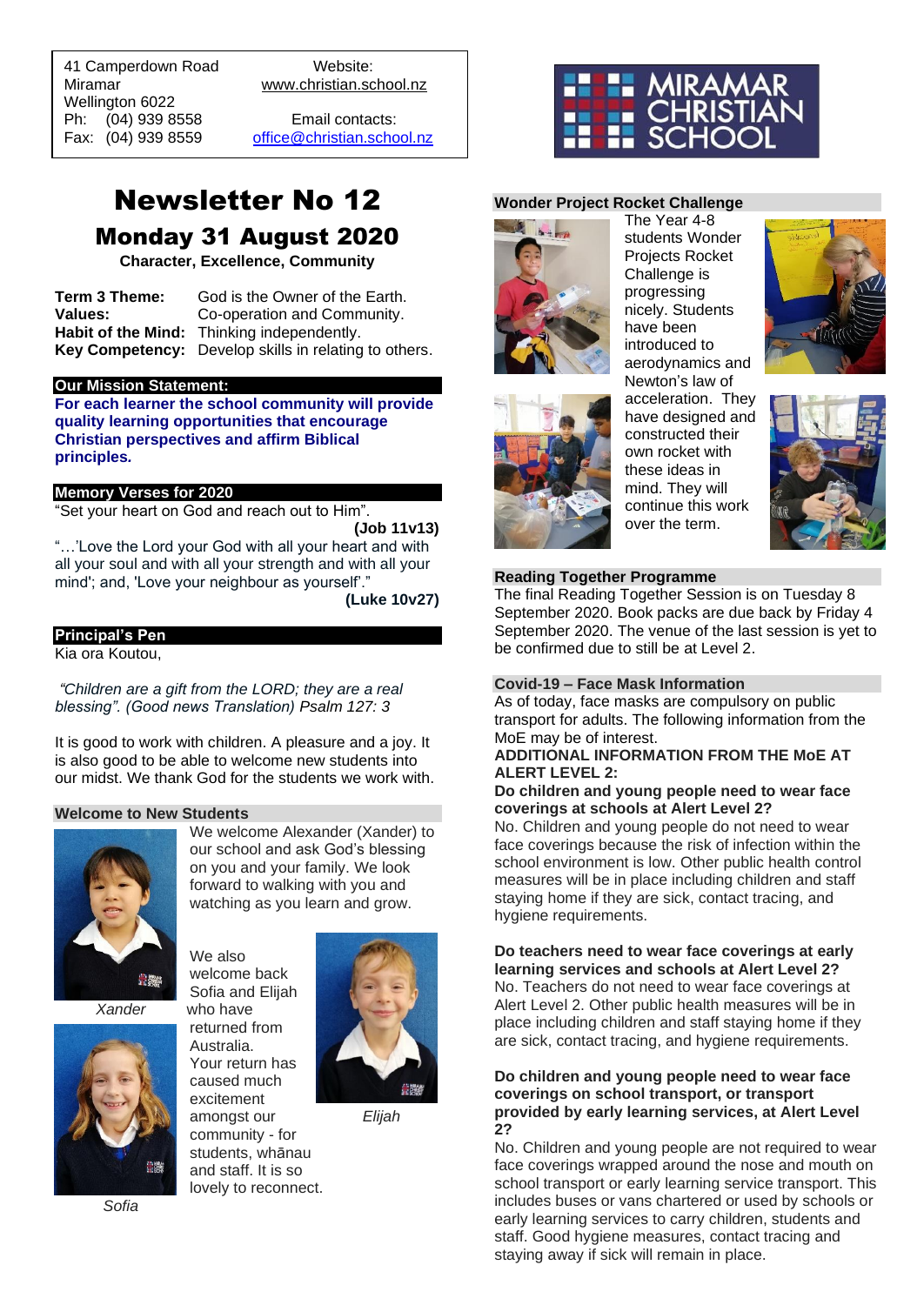41 Camperdown Road Website: Miramar www.christian.school.nz Wellington 6022 Ph: (04) 939 8558 Email contacts:

 $\overline{a}$ 

Fax: (04) 939 8559 [office@christian.school.nz](mailto:office@christian.school.nz)

# Newsletter No 12 Monday 31 August 2020

**Character, Excellence, Community**

**Term 3 Theme:** God is the Owner of the Earth. **Values:** Co-operation and Community. **Habit of the Mind:** Thinking independently. **Key Competency:** Develop skills in relating to others.

#### **Our Mission Statement:**

**For each learner the school community will provide quality learning opportunities that encourage Christian perspectives and affirm Biblical principles***.*

## **Memory Verses for 2020**

"Set your heart on God and reach out to Him".

**(Job 11v13)**

"…'Love the Lord your God with all your heart and with all your soul and with all your strength and with all your mind'; and, 'Love your neighbour as yourself'."

**(Luke 10v27)**

## **Principal's Pen**

Kia ora Koutou,

*"Children are a gift from the LORD; they are a real blessing". (Good news Translation) Psalm 127: 3*

It is good to work with children. A pleasure and a joy. It is also good to be able to welcome new students into our midst. We thank God for the students we work with.

### **Welcome to New Students**



We welcome Alexander (Xander) to our school and ask God's blessing on you and your family. We look forward to walking with you and watching as you learn and grow.

We also welcome back Sofia and Elijah *Xander* who have returned from Australia. Your return has caused much excitement amongst our *Elijah* community - for students, whānau and staff. It is so

lovely to reconnect.



## **Wonder Project Rocket Challenge**



The Year 4-8 students Wonder Projects Rocket Challenge is progressing nicely. Students have been introduced to aerodynamics and Newton's law of





acceleration. They have designed and constructed their own rocket with these ideas in mind. They will continue this work over the term.



## **Reading Together Programme**

The final Reading Together Session is on Tuesday 8 September 2020. Book packs are due back by Friday 4 September 2020. The venue of the last session is yet to be confirmed due to still be at Level 2.

## **Covid-19 – Face Mask Information**

As of today, face masks are compulsory on public transport for adults. The following information from the MoE may be of interest.

## **ADDITIONAL INFORMATION FROM THE MoE AT ALERT LEVEL 2:**

## **Do children and young people need to wear face coverings at schools at Alert Level 2?**

No. Children and young people do not need to wear face coverings because the risk of infection within the school environment is low. Other public health control measures will be in place including children and staff staying home if they are sick, contact tracing, and hygiene requirements.

**Do teachers need to wear face coverings at early learning services and schools at Alert Level 2?** No. Teachers do not need to wear face coverings at Alert Level 2. Other public health measures will be in place including children and staff staying home if they are sick, contact tracing, and hygiene requirements.

## **Do children and young people need to wear face coverings on school transport, or transport provided by early learning services, at Alert Level 2?**

No. Children and young people are not required to wear face coverings wrapped around the nose and mouth on school transport or early learning service transport. This includes buses or vans chartered or used by schools or early learning services to carry children, students and staff. Good hygiene measures, contact tracing and staying away if sick will remain in place.

*Sofia*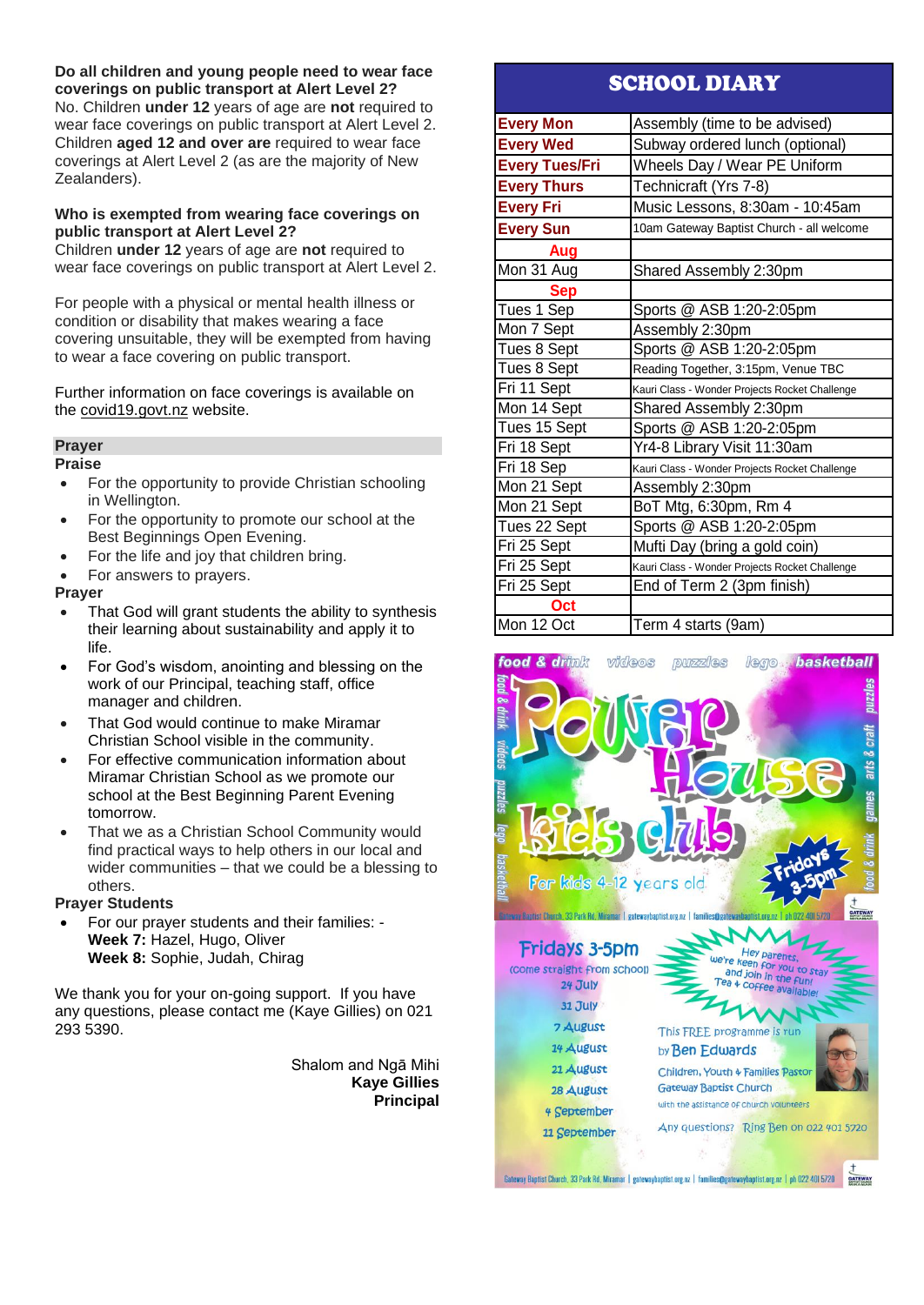**Do all children and young people need to wear face coverings on public transport at Alert Level 2?** No. Children **under 12** years of age are **not** required to wear face coverings on public transport at Alert Level 2. Children **aged 12 and over are** required to wear face coverings at Alert Level 2 (as are the majority of New Zealanders).

## **Who is exempted from wearing face coverings on public transport at Alert Level 2?**

Children **under 12** years of age are **not** required to wear face coverings on public transport at Alert Level 2.

For people with a physical or mental health illness or condition or disability that makes wearing a face covering unsuitable, they will be exempted from having to wear a face covering on public transport.

Further information on face coverings is available on the [covid19.govt.nz](http://covid19.govt.nz/) website.

## **Prayer**

## **Praise**

- For the opportunity to provide Christian schooling in Wellington.
- For the opportunity to promote our school at the Best Beginnings Open Evening.
- For the life and joy that children bring.
- For answers to prayers.

## **Prayer**

- That God will grant students the ability to synthesis their learning about sustainability and apply it to life.
- For God's wisdom, anointing and blessing on the work of our Principal, teaching staff, office manager and children.
- That God would continue to make Miramar Christian School visible in the community.
- For effective communication information about Miramar Christian School as we promote our school at the Best Beginning Parent Evening tomorrow.
- That we as a Christian School Community would find practical ways to help others in our local and wider communities – that we could be a blessing to others.

## **Prayer Students**

• For our prayer students and their families: - **Week 7:** Hazel, Hugo, Oliver **Week 8:** Sophie, Judah, Chirag

We thank you for your on-going support. If you have any questions, please contact me (Kaye Gillies) on 021 293 5390.

> Shalom and Ngā Mihi **Kaye Gillies Principal**

## SCHOOL DIARY

| <b>Every Mon</b>      | Assembly (time to be advised)                  |
|-----------------------|------------------------------------------------|
| <b>Every Wed</b>      | Subway ordered lunch (optional)                |
| <b>Every Tues/Fri</b> | Wheels Day / Wear PE Uniform                   |
| <b>Every Thurs</b>    | Technicraft (Yrs 7-8)                          |
| <b>Every Fri</b>      | Music Lessons, 8:30am - 10:45am                |
| <b>Every Sun</b>      | 10am Gateway Baptist Church - all welcome      |
| Aug                   |                                                |
| Mon 31 Aug            | Shared Assembly 2:30pm                         |
| <b>Sep</b>            |                                                |
| Tues 1 Sep            | Sports @ ASB 1:20-2:05pm                       |
| Mon 7 Sept            | Assembly 2:30pm                                |
| Tues 8 Sept           | Sports @ ASB 1:20-2:05pm                       |
| Tues 8 Sept           | Reading Together, 3:15pm, Venue TBC            |
| Fri 11 Sept           | Kauri Class - Wonder Projects Rocket Challenge |
| Mon 14 Sept           | Shared Assembly 2:30pm                         |
| Tues 15 Sept          | Sports @ ASB 1:20-2:05pm                       |
| Fri 18 Sept           | Yr4-8 Library Visit 11:30am                    |
| Fri 18 Sep            | Kauri Class - Wonder Projects Rocket Challenge |
| Mon 21 Sept           | Assembly 2:30pm                                |
| Mon 21 Sept           | BoT Mtg, 6:30pm, Rm 4                          |
| Tues 22 Sept          | Sports @ ASB 1:20-2:05pm                       |
| Fri 25 Sept           | Mufti Day (bring a gold coin)                  |
| Fri 25 Sept           | Kauri Class - Wonder Projects Rocket Challenge |
| Fri 25 Sept           | End of Term 2 (3pm finish)                     |
| Oct                   |                                                |
| Mon 12 Oct            | Term 4 starts (9am)                            |

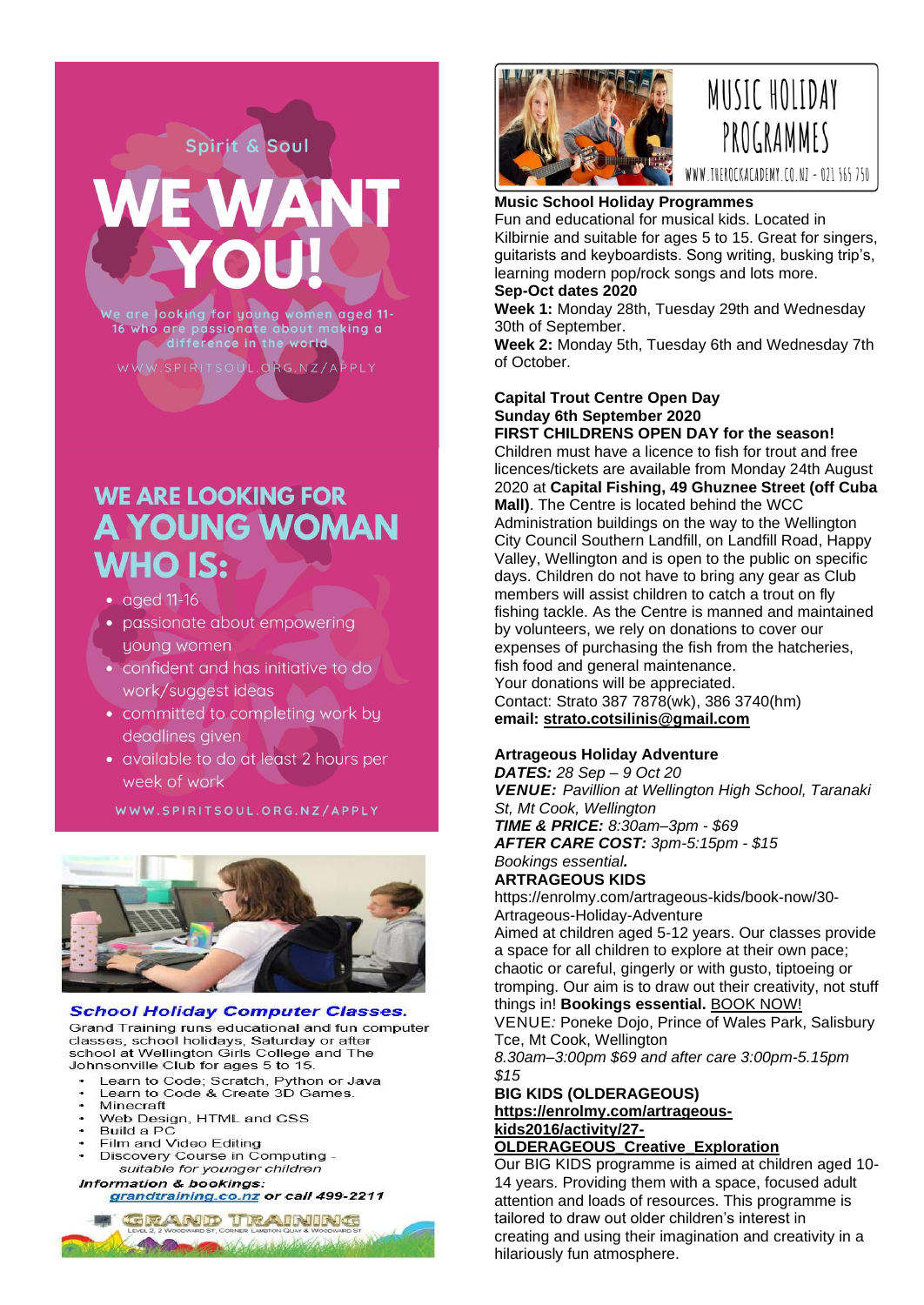are looking for young women aged 11-<br>who are passionate about making a<br>difference in the world 16

Spirit & Soul

TSOUL.ORG.NZ/APPLY

# **WE ARE LOOKING FOR A YOUNG WOMAN WHO IS:**

- $\bullet$  aged 11-16
- passionate about empowering young women
- confident and has initiative to do work/suggest ideas
- committed to completing work by deadlines given
- available to do at least 2 hours per week of work

WWW.SPIRITSOUL.ORG.NZ/APPLY



### **School Holiday Computer Classes.**

Grand Training runs educational and fun computer classes, school holidays, Saturday or after school at Wellington Girls College and The Johnsonville Club for ages 5 to 15.

- Learn to Code; Scratch, Python or Java<br>Learn to Code & Create 3D Games.
- 
- Minecraft
- Web Design, HTML and CSS Build a PC
- Film and Video Editing
- Discovery Course in Computing suitable for younger children

## Information & bookings:

grandtraining.co.nz or call 499-2211





## **Music School Holiday Programmes** Fun and educational for musical kids. Located in

Kilbirnie and suitable for ages 5 to 15. Great for singers, guitarists and keyboardists. Song writing, busking trip's, learning modern pop/rock songs and lots more. **Sep-Oct dates 2020**

# **Week 1:** Monday 28th, Tuesday 29th and Wednesday

30th of September.

**Week 2:** Monday 5th, Tuesday 6th and Wednesday 7th of October.

## **Capital Trout Centre Open Day Sunday 6th September 2020**

**FIRST CHILDRENS OPEN DAY for the season!** Children must have a licence to fish for trout and free licences/tickets are available from Monday 24th August 2020 at **Capital Fishing, 49 Ghuznee Street (off Cuba Mall)**. The Centre is located behind the WCC Administration buildings on the way to the Wellington City Council Southern Landfill, on Landfill Road, Happy Valley, Wellington and is open to the public on specific days. Children do not have to bring any gear as Club members will assist children to catch a trout on fly fishing tackle. As the Centre is manned and maintained by volunteers, we rely on donations to cover our expenses of purchasing the fish from the hatcheries, fish food and general maintenance. Your donations will be appreciated. Contact: Strato 387 7878(wk), 386 3740(hm) **email: [strato.cotsilinis@gmail.com](mailto:strato.cotsilinis@gmail.com)**

## **Artrageous Holiday Adventure**

*DATES: 28 Sep – 9 Oct 20 VENUE: Pavillion at Wellington High School, Taranaki St, Mt Cook, Wellington TIME & PRICE: 8:30am–3pm - \$69 AFTER CARE COST: 3pm-5:15pm - \$15 Bookings essential.*

## **ARTRAGEOUS KIDS**

https://enrolmy.com/artrageous-kids/book-now/30- Artrageous-Holiday-Adventure

Aimed at children aged 5-12 years. Our classes provide a space for all children to explore at their own pace; chaotic or careful, gingerly or with gusto, tiptoeing or tromping. Our aim is to draw out their creativity, not stuff things in! **Bookings essential.** [BOOK NOW!](https://enrolmy.com/artrageous-kids/book-now/30-Artrageous-Holiday-Adventure)

VENUE*:* Poneke Dojo, Prince of Wales Park, Salisbury Tce, Mt Cook, Wellington

*8.30am–3:00pm \$69 and after care 3:00pm-5.15pm \$15*

## **BIG KIDS (OLDERAGEOUS) [https://enrolmy.com/artrageous](https://enrolmy.com/artrageous-kids2016/activity/27-OLDERAGEOUS_Creative_Exploration)[kids2016/activity/27-](https://enrolmy.com/artrageous-kids2016/activity/27-OLDERAGEOUS_Creative_Exploration)**

## **[OLDERAGEOUS\\_Creative\\_Exploration](https://enrolmy.com/artrageous-kids2016/activity/27-OLDERAGEOUS_Creative_Exploration)**

Our BIG KIDS programme is aimed at children aged 10- 14 years. Providing them with a space, focused adult attention and loads of resources. This programme is tailored to draw out older children's interest in creating and using their imagination and creativity in a hilariously fun atmosphere.